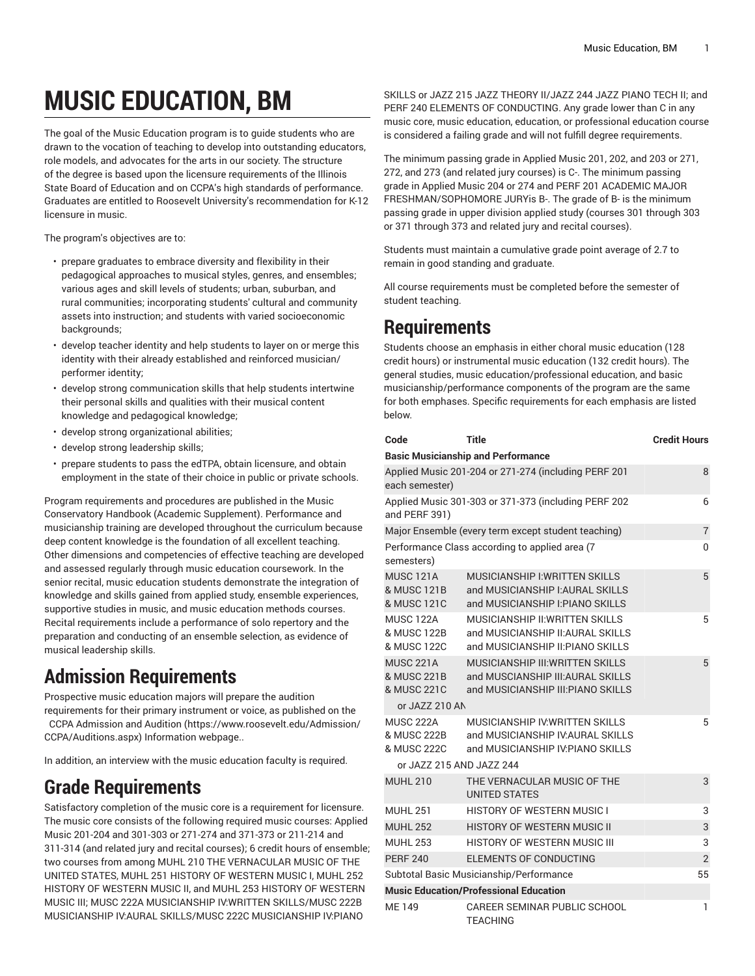# **MUSIC EDUCATION, BM**

The goal of the Music Education program is to guide students who are drawn to the vocation of teaching to develop into outstanding educators, role models, and advocates for the arts in our society. The structure of the degree is based upon the licensure requirements of the Illinois State Board of Education and on CCPA's high standards of performance. Graduates are entitled to Roosevelt University's recommendation for K-12 licensure in music.

The program's objectives are to:

- prepare graduates to embrace diversity and flexibility in their pedagogical approaches to musical styles, genres, and ensembles; various ages and skill levels of students; urban, suburban, and rural communities; incorporating students' cultural and community assets into instruction; and students with varied socioeconomic backgrounds:
- develop teacher identity and help students to layer on or merge this identity with their already established and reinforced musician/ performer identity;
- develop strong communication skills that help students intertwine their personal skills and qualities with their musical content knowledge and pedagogical knowledge;
- develop strong organizational abilities;
- develop strong leadership skills;
- prepare students to pass the edTPA, obtain licensure, and obtain employment in the state of their choice in public or private schools.

Program requirements and procedures are published in the Music Conservatory Handbook (Academic Supplement). Performance and musicianship training are developed throughout the curriculum because deep content knowledge is the foundation of all excellent teaching. Other dimensions and competencies of effective teaching are developed and assessed regularly through music education coursework. In the senior recital, music education students demonstrate the integration of knowledge and skills gained from applied study, ensemble experiences, supportive studies in music, and music education methods courses. Recital requirements include a performance of solo repertory and the preparation and conducting of an ensemble selection, as evidence of musical leadership skills.

# **Admission Requirements**

Prospective music education majors will prepare the audition requirements for their primary instrument or voice, as published on the CCPA [Admission](https://www.roosevelt.edu/Admission/CCPA/Auditions.aspx) and Audition [\(https://www.roosevelt.edu/Admission/](https://www.roosevelt.edu/Admission/CCPA/Auditions.aspx) [CCPA/Auditions.aspx\)](https://www.roosevelt.edu/Admission/CCPA/Auditions.aspx) Information webpage..

In addition, an interview with the music education faculty is required.

# **Grade Requirements**

Satisfactory completion of the music core is a requirement for licensure. The music core consists of the following required music courses: Applied Music 201-204 and 301-303 or 271-274 and 371-373 or 211-214 and 311-314 (and related jury and recital courses); 6 credit hours of ensemble; two courses from among MUHL 210 THE VERNACULAR MUSIC OF THE UNITED STATES, MUHL 251 HISTORY OF WESTERN MUSIC I, MUHL 252 HISTORY OF WESTERN MUSIC II, and MUHL 253 HISTORY OF WESTERN MUSIC III; MUSC 222A MUSICIANSHIP IV:WRITTEN SKILLS/MUSC 222B MUSICIANSHIP IV:AURAL SKILLS/MUSC 222C MUSICIANSHIP IV:PIANO

SKILLS or JAZZ 215 JAZZ THEORY II/JAZZ 244 JAZZ PIANO TECH II; and PERF 240 ELEMENTS OF CONDUCTING. Any grade lower than C in any music core, music education, education, or professional education course is considered a failing grade and will not fulfill degree requirements.

The minimum passing grade in Applied Music 201, 202, and 203 or 271, 272, and 273 (and related jury courses) is C-. The minimum passing grade in Applied Music 204 or 274 and PERF 201 ACADEMIC MAJOR FRESHMAN/SOPHOMORE JURYis B-. The grade of B- is the minimum passing grade in upper division applied study (courses 301 through 303 or 371 through 373 and related jury and recital courses).

Students must maintain a cumulative grade point average of 2.7 to remain in good standing and graduate.

All course requirements must be completed before the semester of student teaching.

## **Requirements**

Students choose an emphasis in either choral music education (128 credit hours) or instrumental music education (132 credit hours). The general studies, music education/professional education, and basic musicianship/performance components of the program are the same for both emphases. Specific requirements for each emphasis are listed below.

| Code                                           | Title                                                                                                              | <b>Credit Hours</b> |
|------------------------------------------------|--------------------------------------------------------------------------------------------------------------------|---------------------|
|                                                | <b>Basic Musicianship and Performance</b>                                                                          |                     |
| each semester)                                 | Applied Music 201-204 or 271-274 (including PERF 201                                                               | 8                   |
| and PERF 391)                                  | Applied Music 301-303 or 371-373 (including PERF 202                                                               | 6                   |
|                                                | Major Ensemble (every term except student teaching)                                                                | $\overline{7}$      |
| semesters)                                     | Performance Class according to applied area (7                                                                     | 0                   |
| <b>MUSC 121A</b><br>& MUSC 121B<br>& MUSC 121C | <b>MUSICIANSHIP I: WRITTEN SKILLS</b><br>and MUSICIANSHIP I:AURAL SKILLS<br>and MUSICIANSHIP I: PIANO SKILLS       | 5                   |
| <b>MUSC 122A</b><br>& MUSC 122B<br>& MUSC 122C | MUSICIANSHIP II: WRITTEN SKILLS<br>and MUSICIANSHIP II: AURAL SKILLS<br>and MUSICIANSHIP II: PIANO SKILLS          | 5                   |
| <b>MUSC 221A</b><br>& MUSC 221B<br>& MUSC 221C | <b>MUSICIANSHIP III: WRITTEN SKILLS</b><br>and MUSCIANSHIP III: AURAL SKILLS<br>and MUSICIANSHIP III: PIANO SKILLS | 5                   |
| or JAZZ 210 AN                                 |                                                                                                                    |                     |
| <b>MUSC 222A</b><br>& MUSC 222B<br>& MUSC 222C | MUSICIANSHIP IV: WRITTEN SKILLS<br>and MUSICIANSHIP IV: AURAL SKILLS<br>and MUSICIANSHIP IV. PIANO SKILLS          | 5                   |
| or JAZZ 215 AND JAZZ 244                       |                                                                                                                    |                     |
| <b>MUHL 210</b>                                | THE VERNACULAR MUSIC OF THE<br><b>UNITED STATES</b>                                                                | 3                   |
| <b>MUHL 251</b>                                | <b>HISTORY OF WESTERN MUSIC I</b>                                                                                  | 3                   |
| <b>MUHL 252</b>                                | HISTORY OF WESTERN MUSIC II                                                                                        | 3                   |
| <b>MUHL 253</b>                                | HISTORY OF WESTERN MUSIC III                                                                                       | 3                   |
| <b>PERF 240</b>                                | ELEMENTS OF CONDUCTING                                                                                             | $\overline{2}$      |
|                                                | Subtotal Basic Musicianship/Performance                                                                            | 55                  |
|                                                | <b>Music Education/Professional Education</b>                                                                      |                     |
| ME 149                                         | CAREER SEMINAR PUBLIC SCHOOL<br>TEACHING                                                                           | 1                   |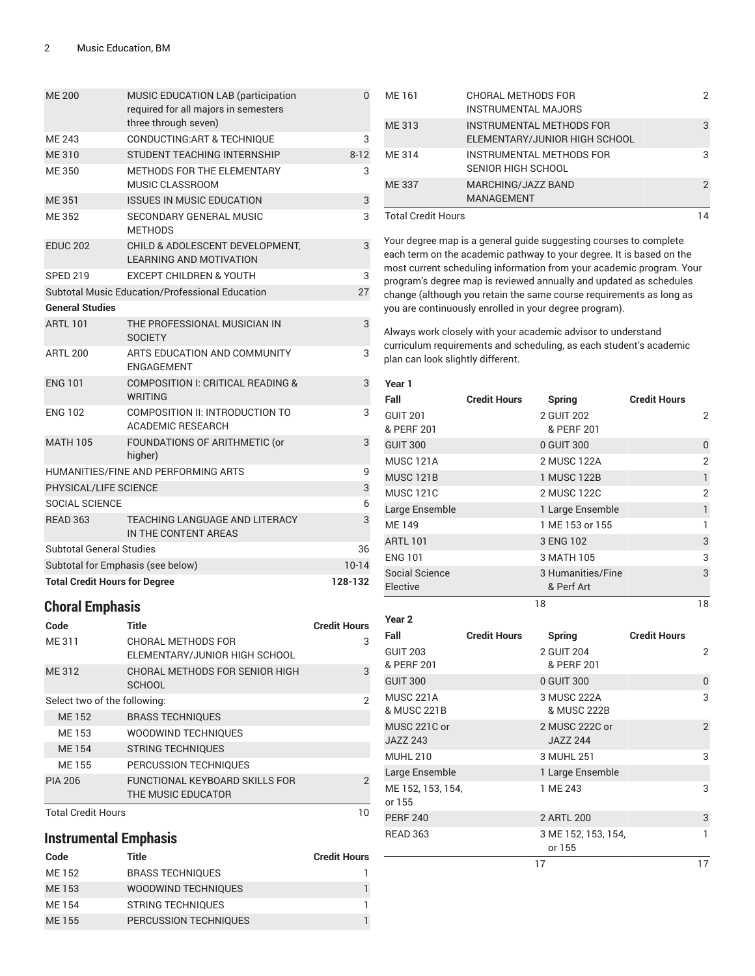| <b>ME 200</b>                        | MUSIC EDUCATION LAB (participation<br>required for all majors in semesters<br>three through seven) | 0        |  |
|--------------------------------------|----------------------------------------------------------------------------------------------------|----------|--|
| ME 243                               | <b>CONDUCTING:ART &amp; TECHNIQUE</b>                                                              | 3        |  |
| <b>ME310</b>                         | STUDENT TEACHING INTERNSHIP                                                                        | $8 - 12$ |  |
| <b>ME350</b>                         | METHODS FOR THE ELEMENTARY<br>MUSIC CLASSROOM                                                      | 3        |  |
| <b>ME 351</b>                        | <b>ISSUES IN MUSIC EDUCATION</b>                                                                   | 3        |  |
| <b>ME352</b>                         | SECONDARY GENERAL MUSIC<br><b>METHODS</b>                                                          | 3        |  |
| <b>EDUC 202</b>                      | CHILD & ADOLESCENT DEVELOPMENT,<br><b>LEARNING AND MOTIVATION</b>                                  | 3        |  |
| <b>SPED 219</b>                      | <b>EXCEPT CHILDREN &amp; YOUTH</b>                                                                 | 3        |  |
|                                      | Subtotal Music Education/Professional Education                                                    | 27       |  |
| <b>General Studies</b>               |                                                                                                    |          |  |
| <b>ARTL 101</b>                      | THE PROFESSIONAL MUSICIAN IN<br><b>SOCIETY</b>                                                     | 3        |  |
| <b>ARTL 200</b>                      | ARTS EDUCATION AND COMMUNITY<br><b>ENGAGEMENT</b>                                                  | 3        |  |
| <b>ENG 101</b>                       | COMPOSITION I: CRITICAL READING &<br><b>WRITING</b>                                                | 3        |  |
| <b>ENG 102</b>                       | COMPOSITION II: INTRODUCTION TO<br><b>ACADEMIC RESEARCH</b>                                        | 3        |  |
| <b>MATH 105</b>                      | FOUNDATIONS OF ARITHMETIC (or<br>higher)                                                           | 3        |  |
|                                      | HUMANITIES/FINE AND PERFORMING ARTS                                                                | 9        |  |
| PHYSICAL/LIFE SCIENCE                |                                                                                                    | 3        |  |
| SOCIAL SCIENCE                       |                                                                                                    | 6        |  |
| <b>READ 363</b>                      | TEACHING LANGUAGE AND LITERACY<br>IN THE CONTENT AREAS                                             | 3        |  |
| <b>Subtotal General Studies</b>      |                                                                                                    | 36       |  |
| Subtotal for Emphasis (see below)    |                                                                                                    | $10-14$  |  |
| <b>Total Credit Hours for Degree</b> |                                                                                                    |          |  |

## **Choral Emphasis**

| Code                         | <b>Title</b>                                         | <b>Credit Hours</b> |
|------------------------------|------------------------------------------------------|---------------------|
| ME 311                       | CHORAL METHODS FOR<br>ELEMENTARY/JUNIOR HIGH SCHOOL  | 3                   |
| ME 312                       | CHORAL METHODS FOR SENIOR HIGH<br><b>SCHOOL</b>      | 3                   |
| Select two of the following: |                                                      | 2                   |
| <b>ME152</b>                 | <b>BRASS TECHNIQUES</b>                              |                     |
| ME 153                       | <b>WOODWIND TECHNIQUES</b>                           |                     |
| <b>ME154</b>                 | <b>STRING TECHNIQUES</b>                             |                     |
| ME 155                       | PERCUSSION TECHNIQUES                                |                     |
| <b>PIA 206</b>               | FUNCTIONAL KEYBOARD SKILLS FOR<br>THE MUSIC EDUCATOR | $\mathcal{P}$       |
| <b>Total Credit Hours</b>    |                                                      | ח ו                 |

### **Instrumental Emphasis**

| Code   | Title                    | <b>Credit Hours</b> |
|--------|--------------------------|---------------------|
| ME 152 | <b>BRASS TECHNIQUES</b>  |                     |
| ME 153 | WOODWIND TECHNIQUES      |                     |
| ME 154 | <b>STRING TECHNIQUES</b> |                     |
| ME 155 | PERCUSSION TECHNIQUES    |                     |

| ME 161                    | CHORAL METHODS FOR              |   |
|---------------------------|---------------------------------|---|
|                           | <b>INSTRUMENTAL MAJORS</b>      |   |
| ME 313                    | <b>INSTRUMENTAL METHODS FOR</b> | 3 |
|                           | ELEMENTARY/JUNIOR HIGH SCHOOL   |   |
| ME 314                    | INSTRUMENTAL METHODS FOR        |   |
|                           | SENIOR HIGH SCHOOL              |   |
| ME 337                    | MARCHING/JAZZ BAND              | 2 |
|                           | <b>MANAGEMENT</b>               |   |
| <b>Total Credit Hours</b> |                                 |   |

Your degree map is a general guide suggesting courses to complete each term on the academic pathway to your degree. It is based on the most current scheduling information from your academic program. Your program's degree map is reviewed annually and updated as schedules change (although you retain the same course requirements as long as you are continuously enrolled in your degree program).

| Year 1                        |                     |                                 |                     |                |
|-------------------------------|---------------------|---------------------------------|---------------------|----------------|
| Fall                          | <b>Credit Hours</b> | <b>Spring</b>                   | <b>Credit Hours</b> |                |
| <b>GUIT 201</b><br>& PERF 201 |                     | 2 GUIT 202<br>& PERF 201        |                     | 2              |
| <b>GUIT 300</b>               |                     | 0 GUIT 300                      |                     | 0              |
| MUSC <sub>121A</sub>          |                     | 2 MUSC 122A                     |                     | $\overline{2}$ |
| <b>MUSC 121B</b>              |                     | 1 MUSC 122B                     |                     | 1              |
| <b>MUSC 121C</b>              |                     | 2 MUSC 122C                     |                     | $\overline{2}$ |
| Large Ensemble                |                     | 1 Large Ensemble                |                     | 1              |
| <b>ME149</b>                  |                     | 1 ME 153 or 155                 |                     | 1              |
| <b>ARTL 101</b>               |                     | 3 ENG 102                       |                     | 3              |
| <b>ENG 101</b>                |                     | 3 MATH 105                      |                     | 3              |
| Social Science<br>Elective    |                     | 3 Humanities/Fine<br>& Perf Art |                     | 3              |
|                               |                     | 18                              |                     | 18             |
| Year 2                        |                     |                                 |                     |                |

| Fall              | <b>Credit Hours</b> | <b>Spring</b>       | <b>Credit Hours</b> |    |
|-------------------|---------------------|---------------------|---------------------|----|
| <b>GUIT 203</b>   |                     | 2 GUIT 204          |                     | 2  |
| & PERF 201        |                     | & PERF 201          |                     |    |
| <b>GUIT 300</b>   |                     | 0 GUIT 300          |                     | 0  |
| <b>MUSC 221A</b>  |                     | 3 MUSC 222A         |                     | 3  |
| & MUSC 221B       |                     | & MUSC 222B         |                     |    |
| MUSC 221C or      |                     | 2 MUSC 222C or      |                     | 2  |
| <b>JAZZ 243</b>   |                     | <b>JAZZ 244</b>     |                     |    |
| <b>MUHL 210</b>   |                     | 3 MUHL 251          |                     | 3  |
| Large Ensemble    |                     | 1 Large Ensemble    |                     |    |
| ME 152, 153, 154, |                     | 1 ME 243            |                     | 3  |
| or 155            |                     |                     |                     |    |
| <b>PERF 240</b>   |                     | 2 ARTL 200          |                     | 3  |
| <b>READ 363</b>   |                     | 3 ME 152, 153, 154, |                     | 1  |
|                   |                     | or 155              |                     |    |
|                   |                     | 17                  |                     | 17 |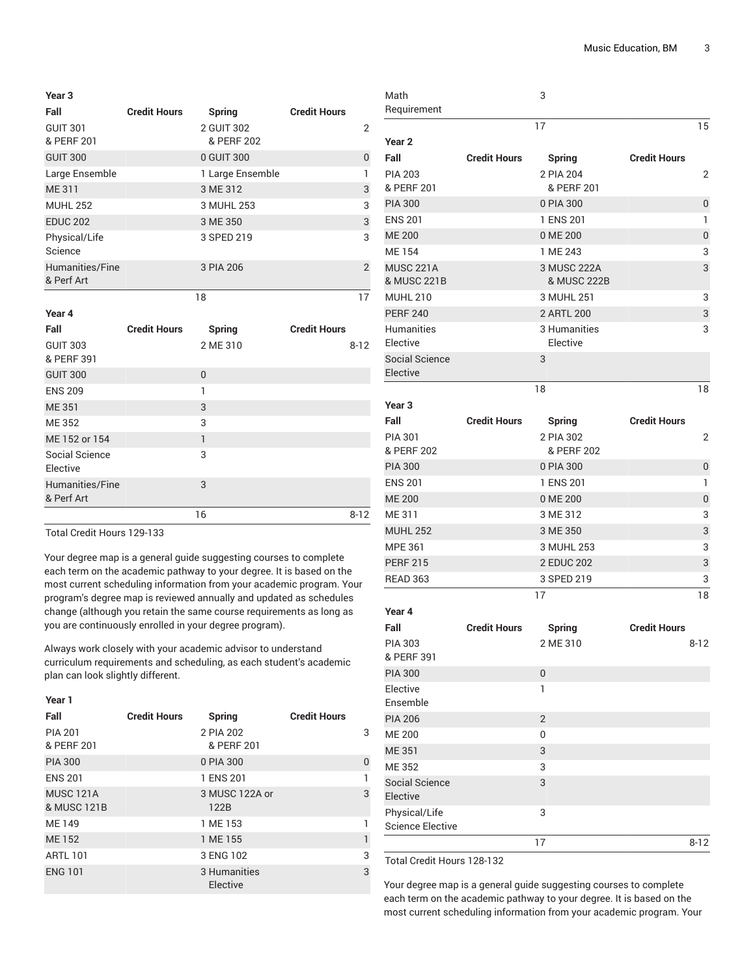| Year 3                        |                     |                          |                     |                |
|-------------------------------|---------------------|--------------------------|---------------------|----------------|
| Fall                          | <b>Credit Hours</b> | Spring                   | <b>Credit Hours</b> |                |
| <b>GUIT 301</b><br>& PERF 201 |                     | 2 GUIT 302<br>& PERF 202 |                     | 2              |
| <b>GUIT 300</b>               |                     | 0 GUIT 300               |                     | $\Omega$       |
| Large Ensemble                |                     | 1 Large Ensemble         |                     |                |
| ME 311                        |                     | 3 ME 312                 |                     | 3              |
| <b>MUHL 252</b>               |                     | 3 MUHL 253               |                     | 3              |
| <b>EDUC 202</b>               |                     | 3 ME 350                 |                     | 3              |
| Physical/Life<br>Science      |                     | 3 SPED 219               |                     | 3              |
| Humanities/Fine<br>& Perf Art |                     | 3 PIA 206                |                     | $\overline{2}$ |
|                               |                     | 18                       |                     | 17             |

**Year 4**

| Fall            | <b>Credit Hours</b> | Spring         | <b>Credit Hours</b> |
|-----------------|---------------------|----------------|---------------------|
| <b>GUIT 303</b> |                     | 2 ME 310       | $8 - 12$            |
| & PERF 391      |                     |                |                     |
| <b>GUIT 300</b> |                     | $\overline{0}$ |                     |
| <b>ENS 209</b>  |                     | 1              |                     |
| <b>ME351</b>    |                     | 3              |                     |
| ME 352          |                     | 3              |                     |
| ME 152 or 154   |                     | 1              |                     |
| Social Science  |                     | 3              |                     |
| Elective        |                     |                |                     |
| Humanities/Fine |                     | 3              |                     |
| & Perf Art      |                     |                |                     |
|                 |                     | 16             | $8 - 12$            |
|                 |                     |                |                     |

Total Credit Hours 129-133

Your degree map is a general guide suggesting courses to complete each term on the academic pathway to your degree. It is based on the most current scheduling information from your academic program. Your program's degree map is reviewed annually and updated as schedules change (although you retain the same course requirements as long as you are continuously enrolled in your degree program).

Always work closely with your academic advisor to understand curriculum requirements and scheduling, as each student's academic plan can look slightly different.

| Year 1                          |                     |                          |                     |          |
|---------------------------------|---------------------|--------------------------|---------------------|----------|
| Fall                            | <b>Credit Hours</b> | Spring                   | <b>Credit Hours</b> |          |
| <b>PIA 201</b><br>& PERF 201    |                     | 2 PIA 202<br>& PERF 201  |                     | 3        |
| <b>PIA 300</b>                  |                     | 0 PIA 300                |                     | $\Omega$ |
| <b>ENS 201</b>                  |                     | 1 ENS 201                |                     |          |
| <b>MUSC 121A</b><br>& MUSC 121B |                     | 3 MUSC 122A or<br>122B   |                     | 3        |
| ME 149                          |                     | 1 ME 153                 |                     |          |
| <b>ME152</b>                    |                     | 1 ME 155                 |                     | 1        |
| <b>ARTL 101</b>                 |                     | 3 ENG 102                |                     | 3        |
| <b>ENG 101</b>                  |                     | 3 Humanities<br>Elective |                     | 3        |

| iviath<br>Requirement                    |                     | J                        |                     |          |
|------------------------------------------|---------------------|--------------------------|---------------------|----------|
|                                          |                     | 17                       |                     | 15       |
| Year <sub>2</sub>                        |                     |                          |                     |          |
| Fall                                     | <b>Credit Hours</b> | Spring                   | <b>Credit Hours</b> |          |
| <b>PIA 203</b>                           |                     | 2 PIA 204                |                     | 2        |
| & PERF 201                               |                     | & PERF 201               |                     |          |
| <b>PIA 300</b>                           |                     | 0 PIA 300                |                     | 0        |
| <b>ENS 201</b>                           |                     | 1 ENS 201                |                     | 1        |
| <b>ME 200</b>                            |                     | 0 ME 200                 |                     | 0        |
| <b>ME154</b>                             |                     | 1 ME 243                 |                     | 3        |
| <b>MUSC 221A</b>                         |                     | 3 MUSC 222A              |                     | 3        |
| & MUSC 221B                              |                     | & MUSC 222B              |                     |          |
| <b>MUHL 210</b>                          |                     | 3 MUHL 251               |                     | 3        |
| <b>PERF 240</b>                          |                     | 2 ARTL 200               |                     | 3        |
| <b>Humanities</b><br>Elective            |                     | 3 Humanities<br>Elective |                     | 3        |
| <b>Social Science</b><br>Elective        |                     | 3                        |                     |          |
|                                          |                     | 18                       |                     | 18       |
| Year <sub>3</sub>                        |                     |                          |                     |          |
| Fall                                     | <b>Credit Hours</b> | <b>Spring</b>            | <b>Credit Hours</b> |          |
| <b>PIA 301</b>                           |                     | 2 PIA 302                |                     | 2        |
| & PERF 202                               |                     | & PERF 202               |                     |          |
| <b>PIA 300</b>                           |                     | 0 PIA 300                |                     | 0        |
| <b>ENS 201</b>                           |                     | 1 ENS 201                |                     | 1        |
| <b>ME 200</b>                            |                     | 0 ME 200                 |                     | 0        |
| ME 311                                   |                     | 3 ME 312                 |                     | 3        |
| <b>MUHL 252</b>                          |                     | 3 ME 350                 |                     | 3        |
| <b>MPE 361</b>                           |                     | 3 MUHL 253               |                     | 3        |
| <b>PERF 215</b>                          |                     | 2 EDUC 202               |                     | 3        |
| <b>READ 363</b>                          |                     | 3 SPED 219               |                     | 3        |
|                                          |                     | 17                       |                     | 18       |
| Year 4                                   |                     |                          |                     |          |
| Fall                                     | <b>Credit Hours</b> | <b>Spring</b>            | <b>Credit Hours</b> |          |
| PIA 303<br>& PERF 391                    |                     | 2 ME 310                 |                     | $8 - 12$ |
| <b>PIA 300</b>                           |                     | $\mathbf 0$              |                     |          |
| Elective                                 |                     | 1                        |                     |          |
| Ensemble                                 |                     |                          |                     |          |
| <b>PIA 206</b>                           |                     | $\overline{2}$           |                     |          |
| <b>ME 200</b>                            |                     | 0                        |                     |          |
| ME 351                                   |                     | 3                        |                     |          |
| ME 352                                   |                     | 3                        |                     |          |
| Social Science                           |                     | 3                        |                     |          |
| Elective                                 |                     |                          |                     |          |
| Physical/Life<br><b>Science Elective</b> |                     | 3                        |                     |          |
|                                          |                     | 17                       |                     | $8 - 12$ |
|                                          |                     |                          |                     |          |

 $\sim$ 

Total Credit Hours 128-132

Math

Your degree map is a general guide suggesting courses to complete each term on the academic pathway to your degree. It is based on the most current scheduling information from your academic program. Your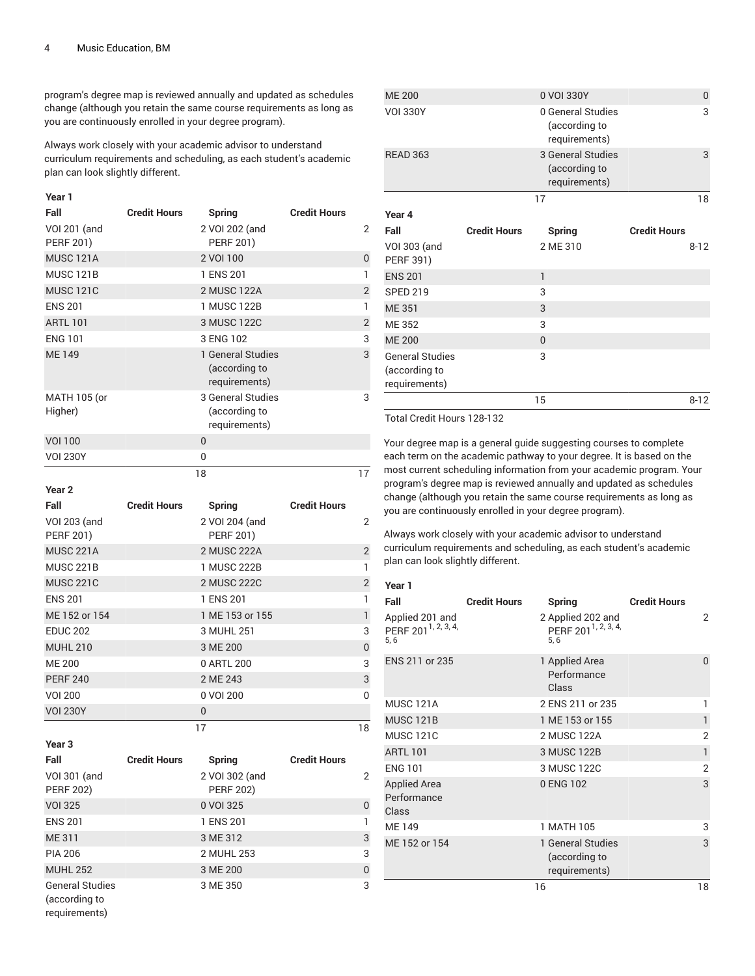program's degree map is reviewed annually and updated as schedules change (although you retain the same course requirements as long as you are continuously enrolled in your degree program).

Always work closely with your academic advisor to understand curriculum requirements and scheduling, as each student's academic plan can look slightly different.

#### **Year 1**

| Fall                             | <b>Credit Hours</b> | Spring                                              | <b>Credit Hours</b> |                |
|----------------------------------|---------------------|-----------------------------------------------------|---------------------|----------------|
| VOI 201 (and<br><b>PERF 201)</b> |                     | 2 VOI 202 (and<br><b>PERF 201)</b>                  |                     | 2              |
| <b>MUSC 121A</b>                 |                     | 2 VOI 100                                           |                     | $\mathbf 0$    |
| <b>MUSC 121B</b>                 |                     | 1 ENS 201                                           |                     |                |
| <b>MUSC 121C</b>                 |                     | 2 MUSC 122A                                         |                     | $\overline{2}$ |
| <b>ENS 201</b>                   |                     | 1 MUSC 122B                                         |                     |                |
| <b>ARTL 101</b>                  |                     | 3 MUSC 122C                                         |                     | $\overline{2}$ |
| <b>ENG 101</b>                   |                     | 3 ENG 102                                           |                     | 3              |
| ME 149                           |                     | 1 General Studies<br>(according to<br>requirements) |                     | 3              |
| MATH 105 (or<br>Higher)          |                     | 3 General Studies<br>(according to<br>requirements) |                     | 3              |
| <b>VOI 100</b>                   |                     | $\theta$                                            |                     |                |
| <b>VOI 230Y</b>                  |                     | 0                                                   |                     |                |
|                                  |                     | 18                                                  |                     | 17             |

**Year 2**

requirements)

| Fall                                    | <b>Credit Hours</b> | Spring                             | <b>Credit Hours</b> |                |
|-----------------------------------------|---------------------|------------------------------------|---------------------|----------------|
| <b>VOI 203 (and</b><br><b>PERF 201)</b> |                     | 2 VOI 204 (and<br><b>PERF 201)</b> |                     | $\overline{2}$ |
| <b>MUSC 221A</b>                        |                     | 2 MUSC 222A                        |                     | $\overline{2}$ |
| <b>MUSC 221B</b>                        |                     | 1 MUSC 222B                        |                     | $\mathbf{1}$   |
| <b>MUSC 221C</b>                        |                     | 2 MUSC 222C                        |                     | $\overline{2}$ |
| <b>ENS 201</b>                          |                     | 1 ENS 201                          |                     | $\mathbf{1}$   |
| ME 152 or 154                           |                     | 1 ME 153 or 155                    |                     | $\mathbf{1}$   |
| <b>EDUC 202</b>                         |                     | 3 MUHL 251                         |                     | 3              |
| <b>MUHL 210</b>                         |                     | 3 ME 200                           |                     | $\overline{0}$ |
| <b>ME 200</b>                           |                     | 0 ARTL 200                         |                     | 3              |
| <b>PERF 240</b>                         |                     | 2 ME 243                           |                     | 3              |
| <b>VOI 200</b>                          |                     | 0 VOI 200                          |                     | $\mathbf{0}$   |
| <b>VOI 230Y</b>                         |                     | $\Omega$                           |                     |                |
|                                         |                     | 17                                 |                     | 18             |
| Year <sub>3</sub>                       |                     |                                    |                     |                |
| Fall                                    | <b>Credit Hours</b> | <b>Spring</b>                      | <b>Credit Hours</b> |                |
| VOI 301 (and<br><b>PERF 202)</b>        |                     | 2 VOI 302 (and<br><b>PERF 202)</b> |                     | $\overline{2}$ |
| <b>VOI 325</b>                          |                     | 0 VOI 325                          |                     | $\mathbf 0$    |
| <b>ENS 201</b>                          |                     | 1 ENS 201                          |                     | $\mathbf{1}$   |
| <b>ME311</b>                            |                     | 3 ME 312                           |                     | 3              |
| <b>PIA 206</b>                          |                     | 2 MUHL 253                         |                     | 3              |
| <b>MUHL 252</b>                         |                     | 3 ME 200                           |                     | $\overline{0}$ |
| <b>General Studies</b>                  |                     | 3 ME 350                           |                     | 3              |

| <b>ME 200</b>                                            |                     | 0 VOI 330Y                                          |                     | 0        |
|----------------------------------------------------------|---------------------|-----------------------------------------------------|---------------------|----------|
| <b>VOI 330Y</b>                                          |                     | 0 General Studies<br>(according to<br>requirements) |                     | 3        |
| <b>READ 363</b>                                          |                     | 3 General Studies<br>(according to<br>requirements) |                     | 3        |
|                                                          |                     | 17                                                  |                     | 18       |
| Year 4                                                   |                     |                                                     |                     |          |
| Fall                                                     | <b>Credit Hours</b> | <b>Spring</b>                                       | <b>Credit Hours</b> |          |
| VOI 303 (and<br>PERF 391)                                |                     | 2 ME 310                                            |                     | $8 - 12$ |
| <b>ENS 201</b>                                           |                     | $\mathbf{1}$                                        |                     |          |
| <b>SPED 219</b>                                          |                     | 3                                                   |                     |          |
| <b>ME351</b>                                             |                     | 3                                                   |                     |          |
| ME 352                                                   |                     | 3                                                   |                     |          |
| <b>ME 200</b>                                            |                     | $\Omega$                                            |                     |          |
| <b>General Studies</b><br>(according to<br>requirements) |                     | 3                                                   |                     |          |
|                                                          |                     | 15                                                  |                     | $8 - 12$ |

Total Credit Hours 128-132

Your degree map is a general guide suggesting courses to complete each term on the academic pathway to your degree. It is based on the most current scheduling information from your academic program. Your program's degree map is reviewed annually and updated as schedules change (although you retain the same course requirements as long as you are continuously enrolled in your degree program).

Always work closely with your academic advisor to understand curriculum requirements and scheduling, as each student's academic plan can look slightly different.

#### **Year 1**

| Fall                                                      | <b>Credit Hours</b> | Spring                                                      | <b>Credit Hours</b> |          |
|-----------------------------------------------------------|---------------------|-------------------------------------------------------------|---------------------|----------|
| Applied 201 and<br>PERF 201 <sup>1, 2, 3, 4,</sup><br>5.6 |                     | 2 Applied 202 and<br>PERF 201 <sup>1, 2, 3, 4,</sup><br>5.6 |                     | 2        |
| ENS 211 or 235                                            |                     | 1 Applied Area<br>Performance<br>Class                      |                     | $\Omega$ |
| <b>MUSC 121A</b>                                          |                     | 2 ENS 211 or 235                                            |                     | 1        |
| <b>MUSC 121B</b>                                          |                     | 1 ME 153 or 155                                             |                     | 1        |
| <b>MUSC 121C</b>                                          |                     | 2 MUSC 122A                                                 |                     | 2        |
| <b>ARTL 101</b>                                           |                     | 3 MUSC 122B                                                 |                     | 1        |
| <b>ENG 101</b>                                            |                     | 3 MUSC 122C                                                 |                     | 2        |
| <b>Applied Area</b><br>Performance<br>Class               |                     | 0 ENG 102                                                   |                     | 3        |
| <b>ME149</b>                                              |                     | 1 MATH 105                                                  |                     | 3        |
| ME 152 or 154                                             |                     | 1 General Studies<br>(according to<br>requirements)         |                     | 3        |
|                                                           |                     | 16                                                          |                     | 18       |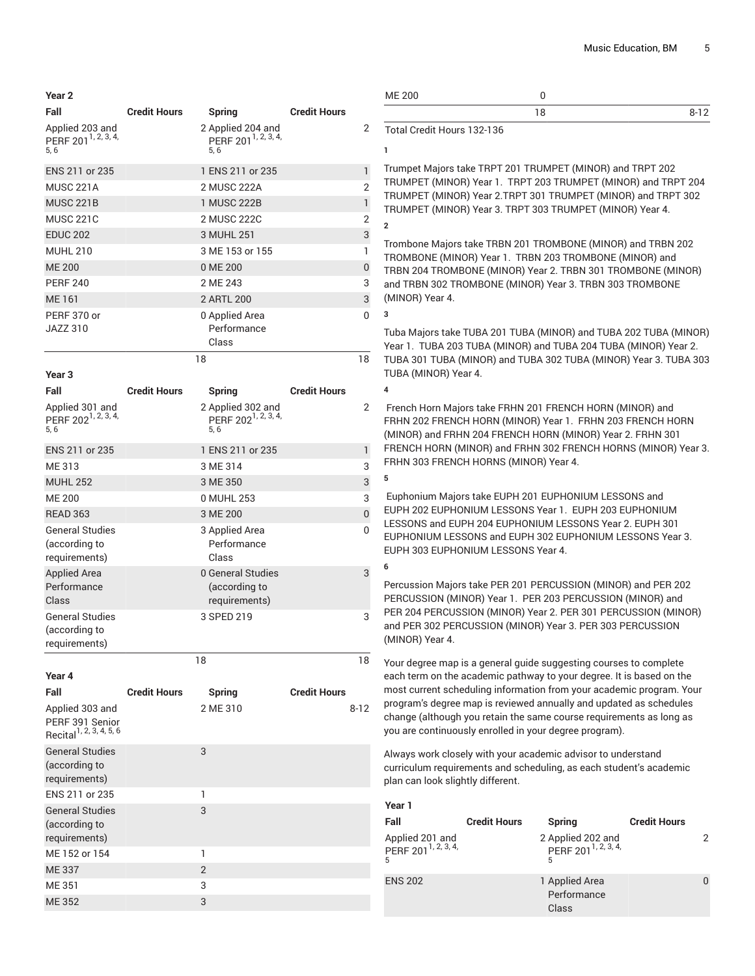**Year 2**

| Fall                                                                      | <b>Credit Hours</b> | Spring                                                      | <b>Credit Hours</b> |                |
|---------------------------------------------------------------------------|---------------------|-------------------------------------------------------------|---------------------|----------------|
| Applied 203 and<br>PERF 201 <sup>1, 2, 3, 4,</sup><br>5,6                 |                     | 2 Applied 204 and<br>PERF 201 <sup>1, 2, 3, 4,</sup><br>5,6 |                     | 2              |
| ENS 211 or 235                                                            |                     | 1 ENS 211 or 235                                            |                     | 1              |
| <b>MUSC 221A</b>                                                          |                     | 2 MUSC 222A                                                 |                     | $\overline{2}$ |
| <b>MUSC 221B</b>                                                          |                     | 1 MUSC 222B                                                 |                     | 1              |
| <b>MUSC 221C</b>                                                          |                     | 2 MUSC 222C                                                 |                     | $\overline{2}$ |
| <b>EDUC 202</b>                                                           |                     | 3 MUHL 251                                                  |                     | 3              |
| <b>MUHL 210</b>                                                           |                     | 3 ME 153 or 155                                             |                     | 1              |
| <b>ME 200</b>                                                             |                     | 0 ME 200                                                    |                     | $\mathbf 0$    |
| <b>PERF 240</b>                                                           |                     | 2 ME 243                                                    |                     | 3              |
| <b>ME161</b>                                                              |                     | 2 ARTL 200                                                  |                     | 3              |
| PERF 370 or<br><b>JAZZ 310</b>                                            |                     | 0 Applied Area<br>Performance                               |                     | 0              |
|                                                                           |                     | Class                                                       |                     |                |
|                                                                           |                     | 18                                                          |                     | 18             |
| Year <sub>3</sub>                                                         |                     |                                                             |                     |                |
| Fall                                                                      | <b>Credit Hours</b> | <b>Spring</b>                                               | <b>Credit Hours</b> |                |
| Applied 301 and<br>PERF 202 <sup>1, 2, 3, 4,</sup><br>5.6                 |                     | 2 Applied 302 and<br>PERF 202 <sup>1, 2, 3, 4,</sup><br>5,6 |                     | 2              |
| ENS 211 or 235                                                            |                     | 1 ENS 211 or 235                                            |                     | $\mathbf{1}$   |
| ME 313                                                                    |                     | 3 ME 314                                                    |                     | 3              |
| <b>MUHL 252</b>                                                           |                     | 3 ME 350                                                    |                     | 3              |
| <b>ME 200</b>                                                             |                     | 0 MUHL 253                                                  |                     | 3              |
| <b>READ 363</b>                                                           |                     | 3 ME 200                                                    |                     | 0              |
| <b>General Studies</b>                                                    |                     | 3 Applied Area                                              |                     | 0              |
| (according to<br>requirements)                                            |                     | Performance<br>Class                                        |                     |                |
| <b>Applied Area</b><br>Performance<br>Class                               |                     | 0 General Studies<br>(according to<br>requirements)         |                     | 3              |
| <b>General Studies</b><br>(according to<br>requirements)                  |                     | 3 SPED 219                                                  |                     | 3              |
|                                                                           |                     | 18                                                          |                     | 18             |
| Year 4                                                                    |                     |                                                             |                     |                |
| Fall                                                                      | <b>Credit Hours</b> | <b>Spring</b>                                               | <b>Credit Hours</b> |                |
| Applied 303 and<br>PERF 391 Senior<br>Recital <sup>1, 2, 3, 4, 5, 6</sup> |                     | 2 ME 310                                                    |                     | $8 - 12$       |
| <b>General Studies</b><br>(according to                                   |                     | 3                                                           |                     |                |
| requirements)<br>ENS 211 or 235                                           |                     | 1                                                           |                     |                |
| <b>General Studies</b>                                                    |                     | 3                                                           |                     |                |
| (according to                                                             |                     |                                                             |                     |                |
| requirements)                                                             |                     |                                                             |                     |                |
| ME 152 or 154                                                             |                     | 1                                                           |                     |                |
| <b>ME337</b>                                                              |                     | $\overline{2}$                                              |                     |                |
| ME 351                                                                    |                     | 3                                                           |                     |                |
| ME 352                                                                    |                     | 3                                                           |                     |                |
|                                                                           |                     |                                                             |                     |                |

|               | ------- |          |
|---------------|---------|----------|
|               |         | $8 - 17$ |
| <b>ME 200</b> |         |          |

Total Credit Hours 132-136

**1**

**3**

**4**

**5**

**6**

Trumpet Majors take TRPT 201 TRUMPET (MINOR) and TRPT 202 TRUMPET (MINOR) Year 1. TRPT 203 TRUMPET (MINOR) and TRPT 204 TRUMPET (MINOR) Year 2.TRPT 301 TRUMPET (MINOR) and TRPT 302 TRUMPET (MINOR) Year 3. TRPT 303 TRUMPET (MINOR) Year 4. **2**

Trombone Majors take TRBN 201 TROMBONE (MINOR) and TRBN 202 TROMBONE (MINOR) Year 1. TRBN 203 TROMBONE (MINOR) and TRBN 204 TROMBONE (MINOR) Year 2. TRBN 301 TROMBONE (MINOR) and TRBN 302 TROMBONE (MINOR) Year 3. TRBN 303 TROMBONE (MINOR) Year 4.

Tuba Majors take TUBA 201 TUBA (MINOR) and TUBA 202 TUBA (MINOR) Year 1. TUBA 203 TUBA (MINOR) and TUBA 204 TUBA (MINOR) Year 2. TUBA 301 TUBA (MINOR) and TUBA 302 TUBA (MINOR) Year 3. TUBA 303 TUBA (MINOR) Year 4.

French Horn Majors take FRHN 201 FRENCH HORN (MINOR) and FRHN 202 FRENCH HORN (MINOR) Year 1. FRHN 203 FRENCH HORN (MINOR) and FRHN 204 FRENCH HORN (MINOR) Year 2. FRHN 301 FRENCH HORN (MINOR) and FRHN 302 FRENCH HORNS (MINOR) Year 3. FRHN 303 FRENCH HORNS (MINOR) Year 4.

Euphonium Majors take EUPH 201 EUPHONIUM LESSONS and EUPH 202 EUPHONIUM LESSONS Year 1. EUPH 203 EUPHONIUM LESSONS and EUPH 204 EUPHONIUM LESSONS Year 2. EUPH 301 EUPHONIUM LESSONS and EUPH 302 EUPHONIUM LESSONS Year 3. EUPH 303 EUPHONIUM LESSONS Year 4.

Percussion Majors take PER 201 PERCUSSION (MINOR) and PER 202 PERCUSSION (MINOR) Year 1. PER 203 PERCUSSION (MINOR) and PER 204 PERCUSSION (MINOR) Year 2. PER 301 PERCUSSION (MINOR) and PER 302 PERCUSSION (MINOR) Year 3. PER 303 PERCUSSION (MINOR) Year 4.

Your degree map is a general guide suggesting courses to complete each term on the academic pathway to your degree. It is based on the most current scheduling information from your academic program. Your program's degree map is reviewed annually and updated as schedules change (although you retain the same course requirements as long as you are continuously enrolled in your degree program).

| Year 1                                                   |                     |                                                           |                     |   |
|----------------------------------------------------------|---------------------|-----------------------------------------------------------|---------------------|---|
| Fall                                                     | <b>Credit Hours</b> | Spring                                                    | <b>Credit Hours</b> |   |
| Applied 201 and<br>PERF 201 <sup>1, 2, 3, 4,</sup><br>5. |                     | 2 Applied 202 and<br>PERF 201 <sup>1, 2, 3, 4,</sup><br>5 |                     | 2 |
| <b>ENS 202</b>                                           |                     | 1 Applied Area<br>Performance<br>Class                    |                     | 0 |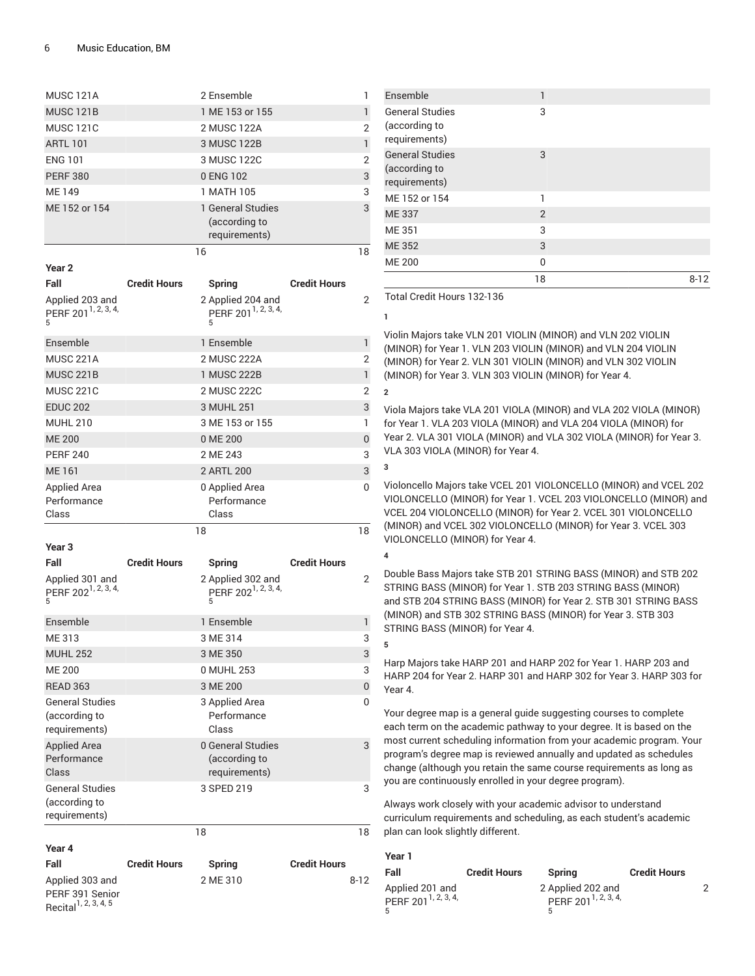|                                                                 |                     | 2 Ensemble                                                            |                     | 1            |
|-----------------------------------------------------------------|---------------------|-----------------------------------------------------------------------|---------------------|--------------|
| <b>MUSC 121B</b>                                                |                     | 1 ME 153 or 155                                                       |                     | 1            |
| <b>MUSC 121C</b>                                                |                     | 2 MUSC 122A                                                           |                     | 2            |
| <b>ARTL 101</b>                                                 |                     | 3 MUSC 122B                                                           |                     | 1            |
| <b>ENG 101</b>                                                  |                     | 3 MUSC 122C                                                           |                     | 2            |
| <b>PERF 380</b>                                                 |                     | 0 ENG 102                                                             |                     | 3            |
| <b>ME149</b>                                                    |                     | 1 MATH 105                                                            |                     | 3            |
| ME 152 or 154                                                   |                     | 1 General Studies<br>(according to<br>requirements)                   |                     | 3            |
|                                                                 |                     | 16                                                                    |                     | 18           |
| Year 2                                                          |                     |                                                                       |                     |              |
| Fall                                                            | <b>Credit Hours</b> | <b>Spring</b>                                                         | <b>Credit Hours</b> |              |
| Applied 203 and<br>PERF 201 <sup>1, 2, 3, 4,</sup><br>5         |                     | 2 Applied 204 and<br>PERF 201 <sup>1, 2, 3, 4,</sup><br>5             |                     | 2            |
| Ensemble                                                        |                     | 1 Ensemble                                                            |                     | 1            |
| <b>MUSC 221A</b>                                                |                     | 2 MUSC 222A                                                           |                     | 2            |
| <b>MUSC 221B</b>                                                |                     | 1 MUSC 222B                                                           |                     | $\mathbf{1}$ |
| <b>MUSC 221C</b>                                                |                     | 2 MUSC 222C                                                           |                     | 2            |
| <b>EDUC 202</b>                                                 |                     | 3 MUHL 251                                                            |                     | 3            |
| <b>MUHL 210</b>                                                 |                     | 3 ME 153 or 155                                                       |                     | 1            |
| <b>ME 200</b>                                                   |                     | 0 ME 200                                                              |                     | 0            |
| <b>PERF 240</b>                                                 |                     | 2 ME 243                                                              |                     | 3            |
| <b>ME161</b>                                                    |                     | 2 ARTL 200                                                            |                     | 3            |
| <b>Applied Area</b>                                             |                     | 0 Applied Area                                                        |                     | 0            |
| Performance                                                     |                     | Performance                                                           |                     |              |
|                                                                 |                     |                                                                       |                     |              |
| Class                                                           |                     | Class                                                                 |                     |              |
|                                                                 |                     | 18                                                                    |                     | 18           |
| Year <sub>3</sub>                                               |                     |                                                                       |                     |              |
| Fall<br>Applied 301 and<br>PERF 202 <sup>1, 2, 3, 4,</sup><br>5 | <b>Credit Hours</b> | <b>Spring</b><br>2 Applied 302 and<br>PERF 202 <sup>1, 2, 3, 4,</sup> | <b>Credit Hours</b> | 2            |
|                                                                 |                     | 5                                                                     |                     |              |
| Ensemble                                                        |                     | 1 Ensemble                                                            |                     | 1            |
| ME 313                                                          |                     | 3 ME 314                                                              |                     | 3            |
| <b>MUHL 252</b>                                                 |                     | 3 ME 350                                                              |                     | 3            |
| MF 200                                                          |                     | 0 MUHL 253                                                            |                     | 3            |
| <b>READ 363</b>                                                 |                     | 3 ME 200                                                              |                     | 0            |
| <b>General Studies</b><br>(according to<br>requirements)        |                     | 3 Applied Area<br>Performance<br>Class                                |                     | 0            |
| <b>Applied Area</b><br>Performance<br>Class                     |                     | 0 General Studies<br>(according to<br>requirements)                   |                     | 3            |
| <b>General Studies</b><br>(according to<br>requirements)        |                     | 3 SPED 219                                                            |                     | 3            |
|                                                                 |                     | 18                                                                    |                     | 18           |
| Year 4                                                          |                     |                                                                       |                     |              |
| Fall                                                            | <b>Credit Hours</b> | Spring                                                                | <b>Credit Hours</b> |              |

| Ensemble                                                 | 1  |      |
|----------------------------------------------------------|----|------|
| <b>General Studies</b><br>(according to<br>requirements) | 3  |      |
| <b>General Studies</b><br>(according to<br>requirements) | 3  |      |
| ME 152 or 154                                            | 1  |      |
| <b>ME337</b>                                             | 2  |      |
| ME 351                                                   | 3  |      |
| <b>ME352</b>                                             | 3  |      |
| <b>ME 200</b>                                            | 0  |      |
|                                                          | 18 | 8-12 |

Total Credit Hours 132-136

**1**

Violin Majors take VLN 201 VIOLIN (MINOR) and VLN 202 VIOLIN (MINOR) for Year 1. VLN 203 VIOLIN (MINOR) and VLN 204 VIOLIN (MINOR) for Year 2. VLN 301 VIOLIN (MINOR) and VLN 302 VIOLIN (MINOR) for Year 3. VLN 303 VIOLIN (MINOR) for Year 4.

Viola Majors take VLA 201 VIOLA (MINOR) and VLA 202 VIOLA (MINOR) for Year 1. VLA 203 VIOLA (MINOR) and VLA 204 VIOLA (MINOR) for Year 2. VLA 301 VIOLA (MINOR) and VLA 302 VIOLA (MINOR) for Year 3. VLA 303 VIOLA (MINOR) for Year 4.

**3**

**2**

Violoncello Majors take VCEL 201 VIOLONCELLO (MINOR) and VCEL 202 VIOLONCELLO (MINOR) for Year 1. VCEL 203 VIOLONCELLO (MINOR) and VCEL 204 VIOLONCELLO (MINOR) for Year 2. VCEL 301 VIOLONCELLO (MINOR) and VCEL 302 VIOLONCELLO (MINOR) for Year 3. VCEL 303 VIOLONCELLO (MINOR) for Year 4.

**4**

**5**

Double Bass Majors take STB 201 STRING BASS (MINOR) and STB 202 STRING BASS (MINOR) for Year 1. STB 203 STRING BASS (MINOR) and STB 204 STRING BASS (MINOR) for Year 2. STB 301 STRING BASS (MINOR) and STB 302 STRING BASS (MINOR) for Year 3. STB 303 STRING BASS (MINOR) for Year 4.

Harp Majors take HARP 201 and HARP 202 for Year 1. HARP 203 and HARP 204 for Year 2. HARP 301 and HARP 302 for Year 3. HARP 303 for Year 4.

Your degree map is a general guide suggesting courses to complete each term on the academic pathway to your degree. It is based on the most current scheduling information from your academic program. Your program's degree map is reviewed annually and updated as schedules change (although you retain the same course requirements as long as you are continuously enrolled in your degree program).

| Year 1                                                   |                     |                                                      |                     |  |
|----------------------------------------------------------|---------------------|------------------------------------------------------|---------------------|--|
| Fall                                                     | <b>Credit Hours</b> | Spring                                               | <b>Credit Hours</b> |  |
| Applied 201 and<br>PERF 201 <sup>1, 2, 3, 4,</sup><br>5. |                     | 2 Applied 202 and<br>PERF 201 <sup>1, 2, 3, 4,</sup> |                     |  |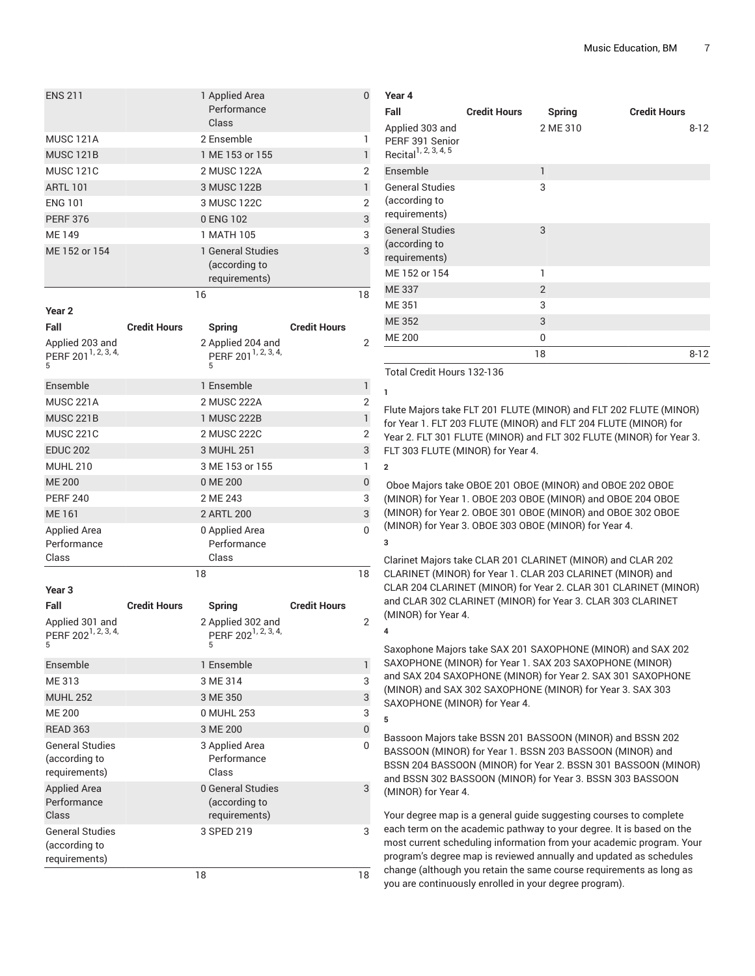| <b>ENS 211</b>                          |                     | 1 Applied Area<br>Performance<br>Class |                     | 0  |
|-----------------------------------------|---------------------|----------------------------------------|---------------------|----|
| <b>MUSC 121A</b>                        |                     | 2 Ensemble                             |                     | 1  |
| <b>MUSC 121B</b>                        |                     | 1 ME 153 or 155                        |                     | 1  |
| <b>MUSC 121C</b>                        |                     | 2 MUSC 122A                            |                     | 2  |
| <b>ARTL 101</b>                         |                     | 3 MUSC 122B                            |                     | 1  |
| <b>ENG 101</b>                          |                     | 3 MUSC 122C                            |                     | 2  |
| <b>PERF 376</b>                         |                     | 0 ENG 102                              |                     | 3  |
| ME 149                                  |                     | 1 MATH 105                             |                     | 3  |
| ME 152 or 154                           |                     | 1 General Studies                      |                     | 3  |
|                                         |                     | (according to                          |                     |    |
|                                         |                     | requirements)                          |                     |    |
|                                         |                     | 16                                     |                     | 18 |
| Year <sub>2</sub>                       |                     |                                        |                     |    |
| Fall                                    | <b>Credit Hours</b> | <b>Spring</b>                          | <b>Credit Hours</b> |    |
| Applied 203 and                         |                     | 2 Applied 204 and                      |                     | 2  |
| PERF 201 <sup>1, 2, 3, 4,</sup>         |                     | PERF 201 <sup>1, 2, 3, 4,</sup>        |                     |    |
| 5                                       |                     | 5                                      |                     |    |
| Ensemble                                |                     | 1 Ensemble                             |                     | 1  |
| <b>MUSC 221A</b>                        |                     | 2 MUSC 222A                            |                     | 2  |
| <b>MUSC 221B</b>                        |                     | 1 MUSC 222B                            |                     | 1  |
| <b>MUSC 221C</b>                        |                     | 2 MUSC 222C                            |                     | 2  |
| <b>EDUC 202</b>                         |                     | 3 MUHL 251                             |                     | 3  |
| <b>MUHL 210</b>                         |                     | 3 ME 153 or 155                        |                     | 1  |
| <b>ME 200</b>                           |                     | 0 ME 200                               |                     | 0  |
| <b>PERF 240</b>                         |                     | 2 ME 243                               |                     | 3  |
| <b>ME161</b>                            |                     | 2 ARTL 200                             |                     | 3  |
| <b>Applied Area</b>                     |                     | 0 Applied Area                         |                     | 0  |
| Performance                             |                     | Performance                            |                     |    |
| Class                                   |                     | Class                                  |                     |    |
|                                         |                     | 18                                     |                     | 18 |
| Year <sub>3</sub>                       |                     |                                        |                     |    |
| Fall                                    | <b>Credit Hours</b> | <b>Spring</b>                          | <b>Credit Hours</b> |    |
| Applied 301 and                         |                     | 2 Applied 302 and                      |                     | 2  |
| PERF 202 <sup>1, 2, 3, 4,</sup>         |                     | PERF 202 <sup>1, 2, 3, 4,</sup>        |                     |    |
|                                         |                     |                                        |                     |    |
| Ensemble                                |                     | 1 Ensemble                             |                     | 1  |
| ME 313                                  |                     | 3 ME 314                               |                     | 3  |
| <b>MUHL 252</b>                         |                     | 3 ME 350                               |                     | 3  |
| <b>ME 200</b>                           |                     | 0 MUHL 253                             |                     | 3  |
| <b>READ 363</b>                         |                     | 3 ME 200                               |                     | 0  |
| <b>General Studies</b>                  |                     | 3 Applied Area                         |                     | 0  |
| (according to                           |                     | Performance                            |                     |    |
| requirements)                           |                     | Class                                  |                     |    |
| <b>Applied Area</b>                     |                     | 0 General Studies                      |                     | 3  |
| Performance<br>Class                    |                     | (according to                          |                     |    |
|                                         |                     | requirements)                          |                     |    |
| <b>General Studies</b><br>(according to |                     | 3 SPED 219                             |                     | 3  |
| requirements)                           |                     |                                        |                     |    |
|                                         |                     |                                        |                     |    |
|                                         |                     | 18                                     |                     | 18 |

| 1ear 4                                                                 |                     |              |                     |
|------------------------------------------------------------------------|---------------------|--------------|---------------------|
| Fall                                                                   | <b>Credit Hours</b> | Spring       | <b>Credit Hours</b> |
| Applied 303 and<br>PERF 391 Senior<br>Recital <sup>1, 2, 3, 4, 5</sup> |                     | 2 ME 310     | $8 - 12$            |
| Ensemble                                                               |                     | $\mathbf{1}$ |                     |
| <b>General Studies</b><br>(according to<br>requirements)               |                     | 3            |                     |
| <b>General Studies</b><br>(according to<br>requirements)               |                     | 3            |                     |
| ME 152 or 154                                                          |                     | 1            |                     |
| <b>ME337</b>                                                           |                     | 2            |                     |
| ME 351                                                                 |                     | 3            |                     |
| <b>ME352</b>                                                           |                     | 3            |                     |
| <b>ME 200</b>                                                          |                     | 0            |                     |
|                                                                        |                     | 18           | $8 - 12$            |

Total Credit Hours 132-136

**1**

**2**

**3**

**4**

**5**

**Year 4**

Flute Majors take FLT 201 FLUTE (MINOR) and FLT 202 FLUTE (MINOR) for Year 1. FLT 203 FLUTE (MINOR) and FLT 204 FLUTE (MINOR) for Year 2. FLT 301 FLUTE (MINOR) and FLT 302 FLUTE (MINOR) for Year 3. FLT 303 FLUTE (MINOR) for Year 4.

Oboe Majors take OBOE 201 OBOE (MINOR) and OBOE 202 OBOE (MINOR) for Year 1. OBOE 203 OBOE (MINOR) and OBOE 204 OBOE (MINOR) for Year 2. OBOE 301 OBOE (MINOR) and OBOE 302 OBOE (MINOR) for Year 3. OBOE 303 OBOE (MINOR) for Year 4.

Clarinet Majors take CLAR 201 CLARINET (MINOR) and CLAR 202 CLARINET (MINOR) for Year 1. CLAR 203 CLARINET (MINOR) and CLAR 204 CLARINET (MINOR) for Year 2. CLAR 301 CLARINET (MINOR) and CLAR 302 CLARINET (MINOR) for Year 3. CLAR 303 CLARINET (MINOR) for Year 4.

Saxophone Majors take SAX 201 SAXOPHONE (MINOR) and SAX 202 SAXOPHONE (MINOR) for Year 1. SAX 203 SAXOPHONE (MINOR) and SAX 204 SAXOPHONE (MINOR) for Year 2. SAX 301 SAXOPHONE (MINOR) and SAX 302 SAXOPHONE (MINOR) for Year 3. SAX 303 SAXOPHONE (MINOR) for Year 4.

Bassoon Majors take BSSN 201 BASSOON (MINOR) and BSSN 202 BASSOON (MINOR) for Year 1. BSSN 203 BASSOON (MINOR) and BSSN 204 BASSOON (MINOR) for Year 2. BSSN 301 BASSOON (MINOR) and BSSN 302 BASSOON (MINOR) for Year 3. BSSN 303 BASSOON (MINOR) for Year 4.

Your degree map is a general guide suggesting courses to complete each term on the academic pathway to your degree. It is based on the most current scheduling information from your academic program. Your program's degree map is reviewed annually and updated as schedules change (although you retain the same course requirements as long as you are continuously enrolled in your degree program).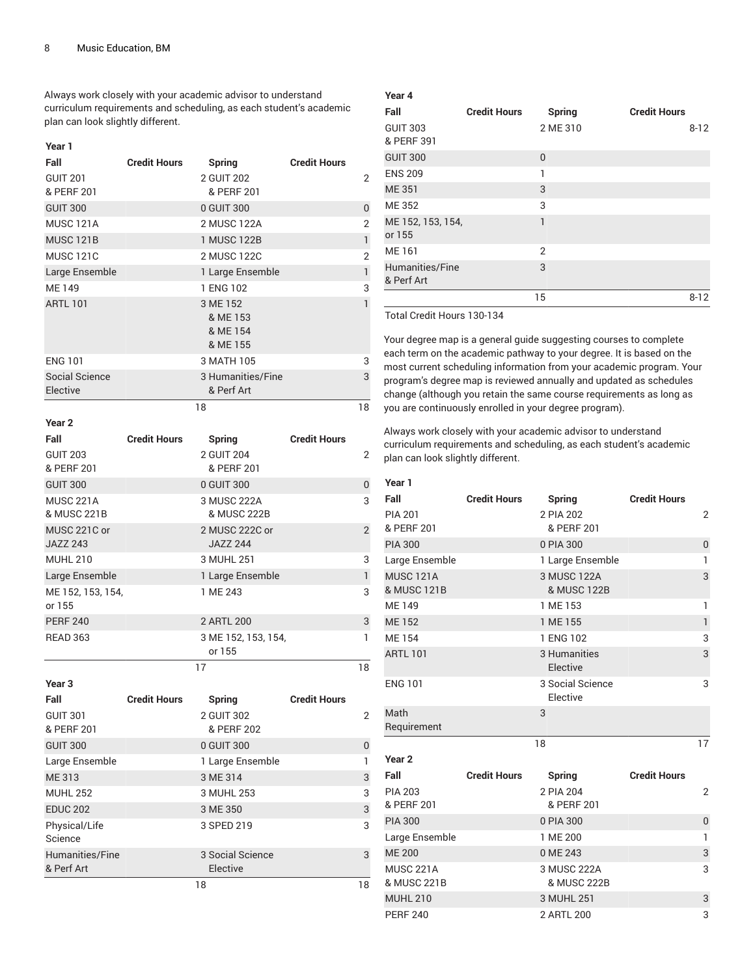Always work closely with your academic advisor to understand curriculum requirements and scheduling, as each student's academic plan can look slightly different.

| Year 1                          |                     |                                              |                     |                |
|---------------------------------|---------------------|----------------------------------------------|---------------------|----------------|
| Fall                            | <b>Credit Hours</b> | <b>Spring</b>                                | <b>Credit Hours</b> |                |
| <b>GUIT 201</b><br>& PERF 201   |                     | 2 GUIT 202<br>& PERF 201                     |                     | 2              |
| <b>GUIT 300</b>                 |                     | 0 GUIT 300                                   |                     | 0              |
| <b>MUSC 121A</b>                |                     | 2 MUSC 122A                                  |                     | 2              |
| <b>MUSC 121B</b>                |                     | 1 MUSC 122B                                  |                     | $\mathbf{1}$   |
| <b>MUSC 121C</b>                |                     | 2 MUSC 122C                                  |                     | 2              |
| Large Ensemble                  |                     | 1 Large Ensemble                             |                     | $\mathsf{I}$   |
| <b>ME149</b>                    |                     | 1 ENG 102                                    |                     | 3              |
| <b>ARTL 101</b>                 |                     | 3 ME 152<br>& ME 153<br>& ME 154<br>& ME 155 |                     | $\mathbf{1}$   |
| <b>ENG 101</b>                  |                     | 3 MATH 105                                   |                     | 3              |
| Social Science<br>Elective      |                     | 3 Humanities/Fine<br>& Perf Art              |                     | 3              |
|                                 | 18                  |                                              |                     | 18             |
| Year <sub>2</sub>               |                     |                                              |                     |                |
| Fall                            | <b>Credit Hours</b> | <b>Spring</b>                                | <b>Credit Hours</b> |                |
| <b>GUIT 203</b><br>& PERF 201   |                     | 2 GUIT 204<br>& PERF 201                     |                     | 2              |
| <b>GUIT 300</b>                 |                     | 0 GUIT 300                                   |                     | 0              |
| <b>MUSC 221A</b><br>& MUSC 221B |                     | 3 MUSC 222A<br>& MUSC 222B                   |                     | 3              |
| MUSC 221C or<br><b>JAZZ 243</b> |                     | 2 MUSC 222C or<br><b>JAZZ 244</b>            |                     | $\overline{2}$ |
| <b>MUHL 210</b>                 |                     | 3 MUHL 251                                   |                     | 3              |
| Large Ensemble                  |                     | 1 Large Ensemble                             |                     | $\mathbf{1}$   |
| ME 152, 153, 154,<br>or 155     |                     | 1 ME 243                                     |                     | 3              |
| <b>PERF 240</b>                 |                     | 2 ARTL 200                                   |                     | 3              |
| <b>READ 363</b>                 |                     | 3 ME 152, 153, 154,<br>or 155                |                     | 1              |
|                                 | 17                  |                                              |                     | 18             |
| Year <sub>3</sub>               |                     |                                              |                     |                |
| Fall                            | <b>Credit Hours</b> | <b>Spring</b>                                | <b>Credit Hours</b> |                |
| <b>GUIT 301</b><br>& PERF 201   |                     | 2 GUIT 302<br>& PERF 202                     |                     | 2              |
| <b>GUIT 300</b>                 |                     | 0 GUIT 300                                   |                     | 0              |
| Large Ensemble                  |                     | 1 Large Ensemble                             |                     | 1              |
| ME 313                          |                     | 3 ME 314                                     |                     | 3              |
| <b>MUHL 252</b>                 |                     | 3 MUHL 253                                   |                     | 3              |
| <b>EDUC 202</b>                 |                     | 3 ME 350                                     |                     | 3              |
| Physical/Life<br>Science        |                     | 3 SPED 219                                   |                     | 3              |
| Humanities/Fine<br>& Perf Art   |                     | 3 Social Science<br>Elective                 |                     | 3              |
|                                 | 18                  |                                              |                     | 18             |

| Year 4                        |                     |                |                     |
|-------------------------------|---------------------|----------------|---------------------|
| Fall                          | <b>Credit Hours</b> | Spring         | <b>Credit Hours</b> |
| <b>GUIT 303</b><br>& PERF 391 |                     | 2 ME 310       | $8 - 12$            |
| <b>GUIT 300</b>               |                     | $\mathbf 0$    |                     |
| <b>ENS 209</b>                |                     | 1              |                     |
| <b>ME351</b>                  |                     | 3              |                     |
| ME 352                        |                     | 3              |                     |
| ME 152, 153, 154,<br>or 155   |                     | 1              |                     |
| ME 161                        |                     | $\mathfrak{D}$ |                     |
| Humanities/Fine<br>& Perf Art |                     | 3              |                     |
|                               |                     | 15             | $8 - 12$            |

Total Credit Hours 130-134

Your degree map is a general guide suggesting courses to complete each term on the academic pathway to your degree. It is based on the most current scheduling information from your academic program. Your program's degree map is reviewed annually and updated as schedules change (although you retain the same course requirements as long as you are continuously enrolled in your degree program).

| Year 1            |                     |                  |                     |              |
|-------------------|---------------------|------------------|---------------------|--------------|
| Fall              | <b>Credit Hours</b> | <b>Spring</b>    | <b>Credit Hours</b> |              |
| <b>PIA 201</b>    |                     | 2 PIA 202        |                     | 2            |
| & PERF 201        |                     | & PERF 201       |                     |              |
| <b>PIA 300</b>    |                     | 0 PIA 300        |                     | $\pmb{0}$    |
| Large Ensemble    |                     | 1 Large Ensemble |                     | 1            |
| <b>MUSC 121A</b>  | 3 MUSC 122A         |                  |                     | 3            |
| & MUSC 121B       |                     | & MUSC 122B      |                     |              |
| <b>ME149</b>      |                     | 1 ME 153         |                     | 1            |
| <b>ME152</b>      |                     | 1 ME 155         |                     | $\mathbf{1}$ |
| <b>ME154</b>      |                     | 1 ENG 102        |                     | 3            |
| <b>ARTL 101</b>   |                     | 3 Humanities     |                     | 3            |
|                   |                     | Elective         |                     |              |
| <b>ENG 101</b>    |                     | 3 Social Science |                     | 3            |
|                   |                     | Elective         |                     |              |
| Math              |                     | 3                |                     |              |
| Requirement       |                     |                  |                     |              |
|                   |                     | 18               |                     | 17           |
| Year <sub>2</sub> |                     |                  |                     |              |
| Fall              | <b>Credit Hours</b> | <b>Spring</b>    | <b>Credit Hours</b> |              |
| <b>PIA 203</b>    |                     | 2 PIA 204        |                     | 2            |
| & PERF 201        |                     | & PERF 201       |                     |              |
| <b>PIA 300</b>    |                     | 0 PIA 300        |                     | 0            |
| Large Ensemble    |                     | 1 ME 200         |                     | 1            |
| <b>ME 200</b>     |                     | 0 ME 243         |                     | 3            |
| <b>MUSC 221A</b>  |                     | 3 MUSC 222A      |                     | 3            |
| & MUSC 221B       |                     | & MUSC 222B      |                     |              |
| <b>MUHL 210</b>   |                     | 3 MUHL 251       |                     | 3            |
| <b>PERF 240</b>   |                     | 2 ARTL 200       |                     | 3            |